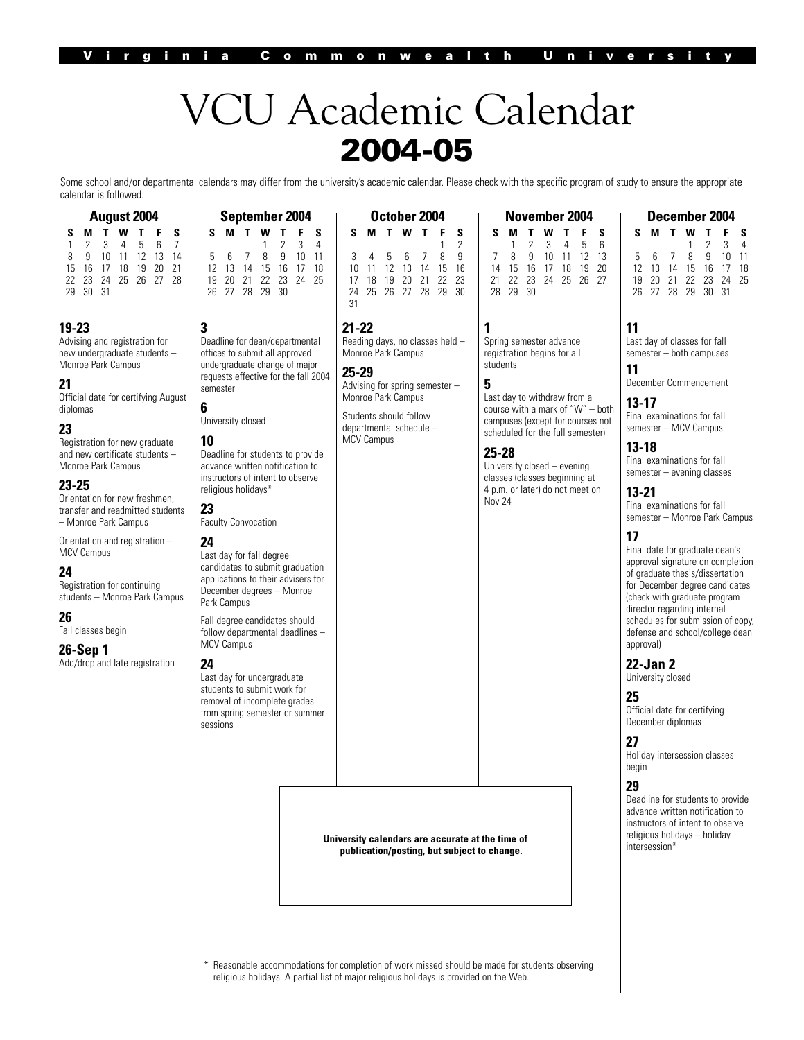# VCU Academic Calendar **2004-05**

Some school and/or departmental calendars may differ from the university's academic calendar. Please check with the specific program of study to ensure the appropriate calendar is followed.

| <b>August 2004</b> |   |  |       |                      |   |                 |  |  |  |
|--------------------|---|--|-------|----------------------|---|-----------------|--|--|--|
| s                  | м |  | T W T |                      | F | S.              |  |  |  |
| 1                  |   |  |       | 2 3 4 5 6            |   | $7\overline{ }$ |  |  |  |
| 8                  |   |  |       | 9 10 11 12 13 14     |   |                 |  |  |  |
| $15 -$             |   |  |       | 16 17 18 19 20 21    |   |                 |  |  |  |
|                    |   |  |       | 22 23 24 25 26 27 28 |   |                 |  |  |  |

#### **19-23**

29 30 31

Advising and registration for new undergraduate students – Monroe Park Campus

**3**

semester **6**

**10**

**23**

**24**

University closed

religious holidays\*

Faculty Convocation

Last day for fall degree candidates to submit graduation applications to their advisers for December degrees – Monroe

Fall degree candidates should follow departmental deadlines –

Last day for undergraduate students to submit work for removal of incomplete grades from spring semester or summer

Park Campus

MCV Campus

**24**

sessions

#### **21**

Official date for certifying August diplomas

#### **23**

Registration for new graduate and new certificate students – Monroe Park Campus

#### **23-25**

Orientation for new freshmen, transfer and readmitted students – Monroe Park Campus

Orientation and registration – MCV Campus

#### **24**

Registration for continuing students – Monroe Park Campus

#### **26**

Fall classes begin

#### **26-Sep 1**

Add/drop and late registration

| September 2004 |     |                      |     |     |                | October 2004 |    |    |                      |                |    |  |
|----------------|-----|----------------------|-----|-----|----------------|--------------|----|----|----------------------|----------------|----|--|
|                |     | S M T W T F S        |     |     |                |              | S. |    | <b>MTWTFS</b>        |                |    |  |
|                |     |                      |     |     | 2 <sub>3</sub> | 4            |    |    |                      |                |    |  |
|                | 567 |                      | - 8 | - 9 | 10             |              |    |    | $4\quad 5\quad 6$    | $\overline{7}$ | 89 |  |
|                |     | 12 13 14 15 16 17 18 |     |     |                |              | 10 |    | 11 12 13 14 15 16    |                |    |  |
|                |     | 19 20 21 22 23 24 25 |     |     |                |              |    | 18 | 19 20 21 22 23       |                |    |  |
|                |     | 26 27 28 29 30       |     |     |                |              |    |    | 24 25 26 27 28 29 30 |                |    |  |
|                |     |                      |     |     |                |              |    |    |                      |                |    |  |

Deadline for dean/departmental offices to submit all approved undergraduate change of major

Deadline for students to provide advance written notification to instructors of intent to observe

#### **21-22**

requests effective for the fall 2004 Reading days, no classes held – Monroe Park Campus **25-29**

Advising for spring semester – Monroe Park Campus

Students should follow departmental schedule – MCV Campus

#### **November 2004 SMTWT F S** 1 2 3 4 5 6<br>8 9 10 11 12 13 7 8 9 10 11 12 13 14 15 16 17 18 19 20 21 22 23 24 25 26 27 28 29 30

**1** Spring semester advance registration begins for all students

**5**

Last day to withdraw from a course with a mark of "W" – both campuses (except for courses not scheduled for the full semester)

#### **25-28**

University closed – evening classes (classes beginning at 4 p.m. or later) do not meet on Nov 24

# **December 2004**

|  | SMTWTFS              |                 |  |
|--|----------------------|-----------------|--|
|  |                      | $1 \t2 \t3 \t4$ |  |
|  | 5 6 7 8 9 10 11      |                 |  |
|  | 12 13 14 15 16 17 18 |                 |  |
|  | 19 20 21 22 23 24 25 |                 |  |
|  | 26 27 28 29 30 31    |                 |  |

#### **11**

Last day of classes for fall semester – both campuses **11**

# December Commencement

**13-17** Final examinations for fall semester – MCV Campus

#### **13-18**

Final examinations for fall semester – evening classes

### **13-21**

Final examinations for fall semester – Monroe Park Campus

#### **17**

Final date for graduate dean's approval signature on completion of graduate thesis/dissertation for December degree candidates (check with graduate program director regarding internal schedules for submission of copy, defense and school/college dean approval)

# **22-Jan 2**

University closed

#### **25**

Official date for certifying December diplomas

#### **27**

Holiday intersession classes begin

#### **29**

Deadline for students to provide advance written notification to instructors of intent to observe religious holidays – holiday intersession\*

**University calendars are accurate at the time of publication/posting, but subject to change.**

Reasonable accommodations for completion of work missed should be made for students observing religious holidays. A partial list of major religious holidays is provided on the Web.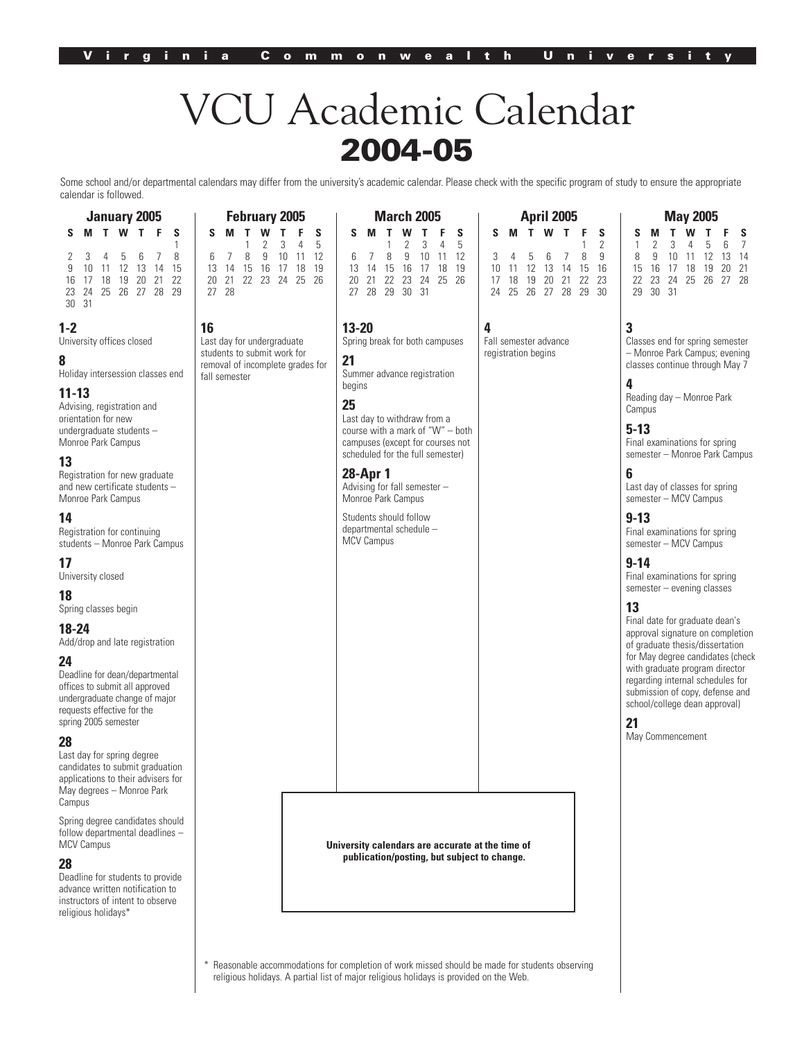# VCU Academic Calendar 2004-05

Some school and/or departmental calendars may differ from the university's academic calendar. Please check with the specific program of study to ensure the appropriate calendar is followed.

 $\overline{\phantom{a}}$ 

**March 2005**

 $\overline{\phantom{a}}$ 

**April 2005**

**May 2005 SMTWT F S** 1 234567 8 9 10 11 12 13 14 15 16 17 18 19 20 21 22 23 24 25 26 27 28

| S<br>S<br>F<br>T<br>w<br>Т<br>M<br>1<br>8<br>b<br>15<br>9<br>10<br>12<br>13<br>14<br>11<br>22<br>19<br>20<br>21<br>-17<br>18<br>16<br>25 26 27 28 29<br>23<br>-24                                                                                                                                                                                                                                                                                                                                                                                                                                                                                                                                              | S<br>S<br>м<br>5<br>3<br>4<br>9<br>10<br>12<br>8<br>11<br>6<br>19<br>13<br>14<br>15<br>16<br>17<br>18<br>20<br>21<br>22<br>23<br>24<br>25<br>26<br>27<br>- 28 | S<br>м<br>3<br>5<br>4<br>8<br>9<br>10<br>12<br>6<br>11<br>13<br>15<br>- 16<br>17<br>18<br>19<br>14<br>22<br>25<br>20<br>23<br>24<br>-26<br>21<br>27  28  29  30  31                                                                                                                                                                                                                     | S<br>Т<br>s<br>M<br>w<br>2<br>9<br>8<br>3<br>5<br>16<br>10<br>12<br>13<br>15<br>11<br>14<br>23<br>17<br>18<br>19<br>20<br>21<br>22<br>25 26<br>27 28 29 30<br>24 | S<br>S<br>7<br>8<br>10<br>9<br>12<br>14<br>15<br>17<br>18<br>19<br>20<br>21<br>16<br>27 28<br>22<br>23<br>24<br>25<br>26<br>29<br>30 31                                                                                                                                                                                                                                                                                                                                                                                                                                                                                                                                                                                                                                     |
|----------------------------------------------------------------------------------------------------------------------------------------------------------------------------------------------------------------------------------------------------------------------------------------------------------------------------------------------------------------------------------------------------------------------------------------------------------------------------------------------------------------------------------------------------------------------------------------------------------------------------------------------------------------------------------------------------------------|---------------------------------------------------------------------------------------------------------------------------------------------------------------|-----------------------------------------------------------------------------------------------------------------------------------------------------------------------------------------------------------------------------------------------------------------------------------------------------------------------------------------------------------------------------------------|------------------------------------------------------------------------------------------------------------------------------------------------------------------|-----------------------------------------------------------------------------------------------------------------------------------------------------------------------------------------------------------------------------------------------------------------------------------------------------------------------------------------------------------------------------------------------------------------------------------------------------------------------------------------------------------------------------------------------------------------------------------------------------------------------------------------------------------------------------------------------------------------------------------------------------------------------------|
| 30 31<br>-2<br>Iniversity offices closed<br>loliday intersession classes end<br>$1 - 13$<br>dvising, registration and<br>rientation for new<br>ndergraduate students-<br><b><i>Aonroe Park Campus</i></b><br>3<br>legistration for new graduate<br>nd new certificate students -<br><b>Monroe Park Campus</b><br>14<br>legistration for continuing<br>tudents - Monroe Park Campus<br>7<br>Iniversity closed<br>8<br>pring classes begin<br>18-24<br>dd/drop and late registration<br>14<br>leadline for dean/departmental<br>ffices to submit all approved<br>ndergraduate change of major<br>equests effective for the<br>pring 2005 semester<br>ast day for spring degree<br>andidates to submit graduation | 16<br>Last day for undergraduate<br>students to submit work for<br>removal of incomplete grades for<br>fall semester                                          | $13 - 20$<br>Spring break for both campuses<br>21<br>Summer advance registration<br>begins<br>25<br>Last day to withdraw from a<br>course with a mark of "W" - both<br>campuses (except for courses not<br>scheduled for the full semester)<br>28-Apr 1<br>Advising for fall semester -<br>Monroe Park Campus<br>Students should follow<br>departmental schedule -<br><b>MCV Campus</b> | 4<br>Fall semester advance<br>registration begins                                                                                                                | 3<br>Classes end for spring semester<br>- Monroe Park Campus; evening<br>classes continue through May 7<br>4<br>Reading day - Monroe Park<br>Campus<br>$5 - 13$<br>Final examinations for spring<br>semester - Monroe Park Campus<br>6<br>Last day of classes for spring<br>semester - MCV Campus<br>$9 - 13$<br>Final examinations for spring<br>semester - MCV Campus<br>$9 - 14$<br>Final examinations for spring<br>$semester - evening classes$<br>13<br>Final date for graduate dean's<br>approval signature on completion<br>of graduate thesis/dissertation<br>for May degree candidates (check<br>with graduate program director<br>regarding internal schedules for<br>submission of copy, defense and<br>school/college dean approval)<br>21<br>May Commencement |
| pplications to their advisers for<br>Aay degrees - Monroe Park<br>ampus'<br>pring degree candidates should<br>ollow departmental deadlines -<br><b>ACV Campus</b><br>28<br>eadline for students to provide<br>dvance written notification to<br>nstructors of intent to observe<br>eligious holidays*                                                                                                                                                                                                                                                                                                                                                                                                          |                                                                                                                                                               | University calendars are accurate at the time of<br>publication/posting, but subject to change.                                                                                                                                                                                                                                                                                         |                                                                                                                                                                  |                                                                                                                                                                                                                                                                                                                                                                                                                                                                                                                                                                                                                                                                                                                                                                             |
|                                                                                                                                                                                                                                                                                                                                                                                                                                                                                                                                                                                                                                                                                                                |                                                                                                                                                               |                                                                                                                                                                                                                                                                                                                                                                                         |                                                                                                                                                                  |                                                                                                                                                                                                                                                                                                                                                                                                                                                                                                                                                                                                                                                                                                                                                                             |

Reasonable accommodations for completion of work missed should be made for students observing religious holidays. A partial list of major religious holidays is provided on the Web.

#### **1-2**

University off

#### **8**

**January 2005**

**February 2005**

 $\mathbb{L}$ 

#### **11-13**

Advising, regi orientation fo undergraduat Monroe Park

#### **13**

#### **14**

# **17**

University clo

#### **18**

#### **18-24**

Add/drop and

#### **24**

#### **28**

#### **28**